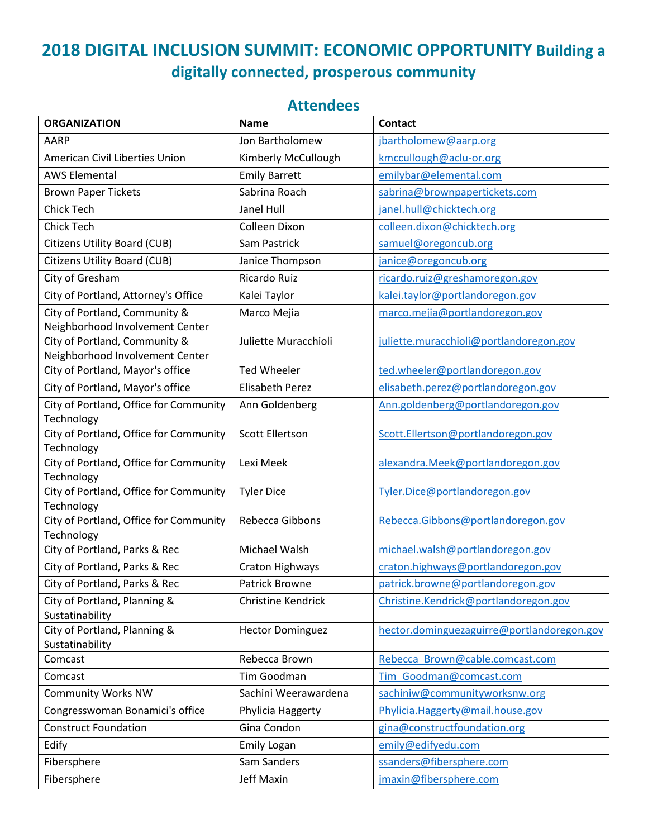## **2018 DIGITAL INCLUSION SUMMIT: ECONOMIC OPPORTUNITY Building a digitally connected, prosperous community**

## **Attendees**

| <b>ORGANIZATION</b>                                              | <b>Name</b>               | <b>Contact</b>                             |
|------------------------------------------------------------------|---------------------------|--------------------------------------------|
| AARP                                                             | Jon Bartholomew           | jbartholomew@aarp.org                      |
| American Civil Liberties Union                                   | Kimberly McCullough       | kmccullough@aclu-or.org                    |
| <b>AWS Elemental</b>                                             | <b>Emily Barrett</b>      | emilybar@elemental.com                     |
| <b>Brown Paper Tickets</b>                                       | Sabrina Roach             | sabrina@brownpapertickets.com              |
| <b>Chick Tech</b>                                                | Janel Hull                | janel.hull@chicktech.org                   |
| <b>Chick Tech</b>                                                | Colleen Dixon             | colleen.dixon@chicktech.org                |
| <b>Citizens Utility Board (CUB)</b>                              | Sam Pastrick              | samuel@oregoncub.org                       |
| <b>Citizens Utility Board (CUB)</b>                              | Janice Thompson           | janice@oregoncub.org                       |
| City of Gresham                                                  | Ricardo Ruiz              | ricardo.ruiz@greshamoregon.gov             |
| City of Portland, Attorney's Office                              | Kalei Taylor              | kalei.taylor@portlandoregon.gov            |
| City of Portland, Community &<br>Neighborhood Involvement Center | Marco Mejia               | marco.mejia@portlandoregon.gov             |
| City of Portland, Community &<br>Neighborhood Involvement Center | Juliette Muracchioli      | juliette.muracchioli@portlandoregon.gov    |
| City of Portland, Mayor's office                                 | <b>Ted Wheeler</b>        | ted.wheeler@portlandoregon.gov             |
| City of Portland, Mayor's office                                 | <b>Elisabeth Perez</b>    | elisabeth.perez@portlandoregon.gov         |
| City of Portland, Office for Community<br>Technology             | Ann Goldenberg            | Ann.goldenberg@portlandoregon.gov          |
| City of Portland, Office for Community<br>Technology             | <b>Scott Ellertson</b>    | Scott.Ellertson@portlandoregon.gov         |
| City of Portland, Office for Community<br>Technology             | Lexi Meek                 | alexandra.Meek@portlandoregon.gov          |
| City of Portland, Office for Community<br>Technology             | <b>Tyler Dice</b>         | Tyler.Dice@portlandoregon.gov              |
| City of Portland, Office for Community<br>Technology             | Rebecca Gibbons           | Rebecca.Gibbons@portlandoregon.gov         |
| City of Portland, Parks & Rec                                    | Michael Walsh             | michael.walsh@portlandoregon.gov           |
| City of Portland, Parks & Rec                                    | Craton Highways           | craton.highways@portlandoregon.gov         |
| City of Portland, Parks & Rec                                    | Patrick Browne            | patrick.browne@portlandoregon.gov          |
| City of Portland, Planning &<br>Sustatinability                  | <b>Christine Kendrick</b> | Christine.Kendrick@portlandoregon.gov      |
| City of Portland, Planning &<br>Sustatinability                  | <b>Hector Dominguez</b>   | hector.dominguezaguirre@portlandoregon.gov |
| Comcast                                                          | Rebecca Brown             | Rebecca Brown@cable.comcast.com            |
| Comcast                                                          | Tim Goodman               | Tim Goodman@comcast.com                    |
| <b>Community Works NW</b>                                        | Sachini Weerawardena      | sachiniw@communityworksnw.org              |
| Congresswoman Bonamici's office                                  | Phylicia Haggerty         | Phylicia.Haggerty@mail.house.gov           |
| <b>Construct Foundation</b>                                      | Gina Condon               | gina@constructfoundation.org               |
| Edify                                                            | <b>Emily Logan</b>        | emily@edifyedu.com                         |
| Fibersphere                                                      | Sam Sanders               | ssanders@fibersphere.com                   |
| Fibersphere                                                      | <b>Jeff Maxin</b>         | jmaxin@fibersphere.com                     |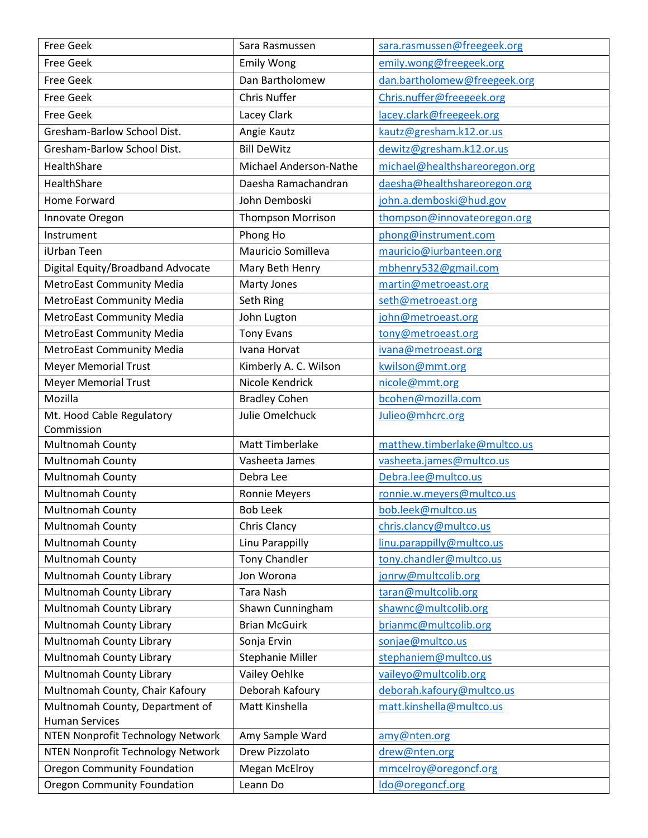| <b>Free Geek</b>                                         | Sara Rasmussen           | sara.rasmussen@freegeek.org   |
|----------------------------------------------------------|--------------------------|-------------------------------|
| <b>Free Geek</b>                                         | <b>Emily Wong</b>        | emily.wong@freegeek.org       |
| <b>Free Geek</b>                                         | Dan Bartholomew          | dan.bartholomew@freegeek.org  |
| <b>Free Geek</b>                                         | <b>Chris Nuffer</b>      | Chris.nuffer@freegeek.org     |
| <b>Free Geek</b>                                         | Lacey Clark              | lacey.clark@freegeek.org      |
| Gresham-Barlow School Dist.                              | Angie Kautz              | kautz@gresham.k12.or.us       |
| Gresham-Barlow School Dist.                              | <b>Bill DeWitz</b>       | dewitz@gresham.k12.or.us      |
| HealthShare                                              | Michael Anderson-Nathe   | michael@healthshareoregon.org |
| HealthShare                                              | Daesha Ramachandran      | daesha@healthshareoregon.org  |
| Home Forward                                             | John Demboski            | john.a.demboski@hud.gov       |
| Innovate Oregon                                          | <b>Thompson Morrison</b> | thompson@innovateoregon.org   |
| Instrument                                               | Phong Ho                 | phong@instrument.com          |
| iUrban Teen                                              | Mauricio Somilleva       | mauricio@iurbanteen.org       |
| Digital Equity/Broadband Advocate                        | Mary Beth Henry          | mbhenry532@gmail.com          |
| <b>MetroEast Community Media</b>                         | Marty Jones              | martin@metroeast.org          |
| <b>MetroEast Community Media</b>                         | Seth Ring                | seth@metroeast.org            |
| <b>MetroEast Community Media</b>                         | John Lugton              | john@metroeast.org            |
| <b>MetroEast Community Media</b>                         | <b>Tony Evans</b>        | tony@metroeast.org            |
| <b>MetroEast Community Media</b>                         | Ivana Horvat             | ivana@metroeast.org           |
| <b>Meyer Memorial Trust</b>                              | Kimberly A. C. Wilson    | kwilson@mmt.org               |
| <b>Meyer Memorial Trust</b>                              | Nicole Kendrick          | nicole@mmt.org                |
| Mozilla                                                  | <b>Bradley Cohen</b>     | bcohen@mozilla.com            |
| Mt. Hood Cable Regulatory                                | Julie Omelchuck          | Julieo@mhcrc.org              |
| Commission                                               |                          |                               |
| Multnomah County                                         | Matt Timberlake          | matthew.timberlake@multco.us  |
| Multnomah County                                         | Vasheeta James           | vasheeta.james@multco.us      |
| <b>Multnomah County</b>                                  | Debra Lee                | Debra.lee@multco.us           |
| Multnomah County                                         | <b>Ronnie Meyers</b>     | ronnie.w.meyers@multco.us     |
| Multnomah County                                         | <b>Bob Leek</b>          | bob.leek@multco.us            |
| <b>Multnomah County</b>                                  | Chris Clancy             | chris.clancy@multco.us        |
| Multnomah County                                         | Linu Parappilly          | linu.parappilly@multco.us     |
| <b>Multnomah County</b>                                  | <b>Tony Chandler</b>     | tony.chandler@multco.us       |
| Multnomah County Library                                 | Jon Worona               | jonrw@multcolib.org           |
| Multnomah County Library                                 | Tara Nash                | taran@multcolib.org           |
| Multnomah County Library                                 | Shawn Cunningham         | shawnc@multcolib.org          |
| Multnomah County Library                                 | <b>Brian McGuirk</b>     | brianmc@multcolib.org         |
| Multnomah County Library                                 | Sonja Ervin              | sonjae@multco.us              |
| Multnomah County Library                                 | <b>Stephanie Miller</b>  | stephaniem@multco.us          |
| Multnomah County Library                                 | Vailey Oehlke            | vaileyo@multcolib.org         |
| Multnomah County, Chair Kafoury                          | Deborah Kafoury          | deborah.kafoury@multco.us     |
| Multnomah County, Department of<br><b>Human Services</b> | Matt Kinshella           | matt.kinshella@multco.us      |
| NTEN Nonprofit Technology Network                        | Amy Sample Ward          | amy@nten.org                  |
| NTEN Nonprofit Technology Network                        | Drew Pizzolato           | drew@nten.org                 |
| <b>Oregon Community Foundation</b>                       | <b>Megan McElroy</b>     | mmcelroy@oregoncf.org         |
| <b>Oregon Community Foundation</b>                       | Leann Do                 | ldo@oregoncf.org              |